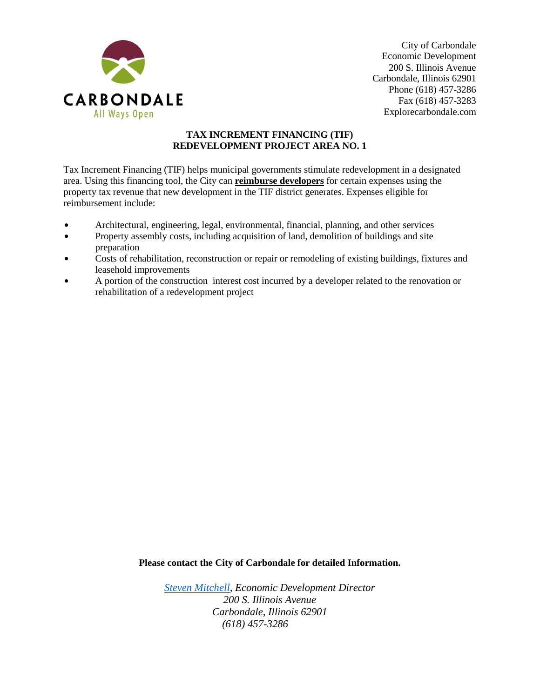

City of Carbondale Economic Development 200 S. Illinois Avenue Carbondale, Illinois 62901 Phone (618) 457-3286 Fax (618) 457-3283 Explorecarbondale.com

## **TAX INCREMENT FINANCING (TIF) REDEVELOPMENT PROJECT AREA NO. 1**

Tax Increment Financing (TIF) helps municipal governments stimulate redevelopment in a designated area. Using this financing tool, the City can **reimburse developers** for certain expenses using the property tax revenue that new development in the TIF district generates. Expenses eligible for reimbursement include:

- $\bullet$  Architectural, engineering, legal, environmental, financial, planning, and other services
- Property assembly costs, including acquisition of land, demolition of buildings and site preparation
- Costs of rehabilitation, reconstruction or repair or remodeling of existing buildings, fixtures and leasehold improvements
- $\bullet$  A portion of the construction interest cost incurred by a developer related to the renovation or rehabilitation of a redevelopment project

**Please contact the City of Carbondale for detailed Information.**

*[Steven Mitchell,](mailto:steven.mitchell@explorecarbondale.com) Economic Development Director 200 S. Illinois Avenue Carbondale, Illinois 62901 (618) 457-3286*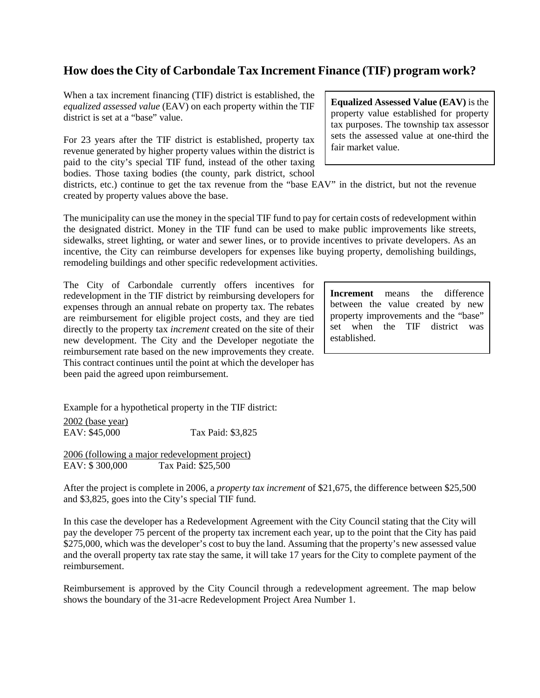## **How does the City of Carbondale Tax Increment Finance (TIF) program work?**

When a tax increment financing (TIF) district is established, the *equalized assessed value* (EAV) on each property within the TIF district is set at a "base" value.

For 23 years after the TIF district is established, property tax revenue generated by higher property values within the district is paid to the city's special TIF fund, instead of the other taxing bodies. Those taxing bodies (the county, park district, school

districts, etc.) continue to get the tax revenue from the "base EAV" in the district, but not the revenue created by property values above the base.

The municipality can use the money in the special TIF fund to pay for certain costs of redevelopment within the designated district. Money in the TIF fund can be used to make public improvements like streets, sidewalks, street lighting, or water and sewer lines, or to provide incentives to private developers. As an incentive, the City can reimburse developers for expenses like buying property, demolishing buildings, remodeling buildings and other specific redevelopment activities.

The City of Carbondale currently offers incentives for redevelopment in the TIF district by reimbursing developers for expenses through an annual rebate on property tax. The rebates are reimbursement for eligible project costs, and they are tied directly to the property tax *increment* created on the site of their new development. The City and the Developer negotiate the reimbursement rate based on the new improvements they create. This contract continues until the point at which the developer has been paid the agreed upon reimbursement.

**Increment** means the difference between the value created by new property improvements and the "base" set when the TIF district was established.

Example for a hypothetical property in the TIF district: 2002 (base year)<br>EAV: \$45,000 Tax Paid: \$3,825

2006 (following a major redevelopment project) EAV: \$ 300,000 Tax Paid: \$25,500

After the project is complete in 2006, a *property tax increment* of \$21,675, the difference between \$25,500 and \$3,825, goes into the City's special TIF fund.

In this case the developer has a Redevelopment Agreement with the City Council stating that the City will pay the developer 75 percent of the property tax increment each year, up to the point that the City has paid \$275,000, which was the developer's cost to buy the land. Assuming that the property's new assessed value and the overall property tax rate stay the same, it will take 17 years for the City to complete payment of the reimbursement.

Reimbursement is approved by the City Council through a redevelopment agreement. The map below shows the boundary of the 31-acre Redevelopment Project Area Number 1.

**Equalized Assessed Value (EAV)** is the property value established for property tax purposes. The township tax assessor sets the assessed value at one-third the fair market value.